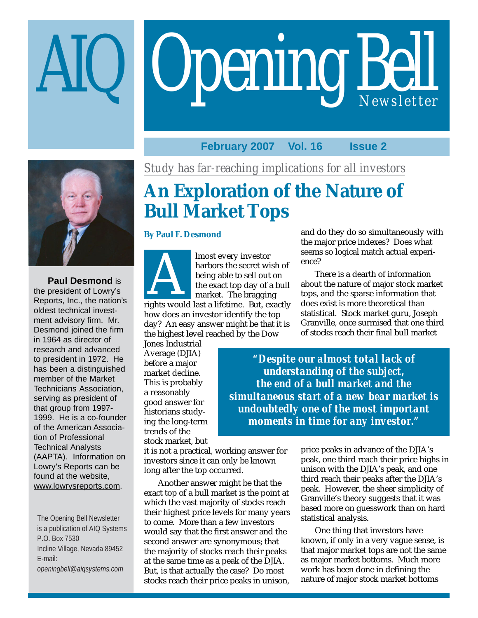# Opening Bell



the president of Lowry's Reports, Inc., the nation's oldest technical invest-**Paul Desmond** is<br>president of Lowry's<br>orts, Inc., the nation's ment advisory firm. Mr. Desmond joined the firm in 1964 as director of research and advanced to president in 1972. He has been a distinguished member of the Market Technicians Association, serving as president of that group from 1997- 1999. He is a co-founder of the American Association of Professional Technical Analysts (AAPTA). Information on Lowry's Reports can be found at the website, www.lowrysreports.com.

The Opening Bell Newsletter is a publication of AIQ Systems P.O. Box 7530 Incline Village, Nevada 89452 E-mail: *openingbell@aiqsystems.com*

**February 2007 Vol. 16 Issue 2**

ence?

# **An Exploration of the Nature of Bull Market Tops**

## **By Paul F. Desmond**



lmost every investor harbors the secret wish of being able to sell out on the exact top day of a bull market. The bragging

rights would last a lifetime. But, exactly how does an investor identify the top day? An easy answer might be that it is the highest level reached by the Dow

Jones Industrial Average (DJIA) before a major market decline. This is probably a reasonably good answer for historians studying the long-term trends of the stock market, but

*"Despite our almost total lack of understanding of the subject, the end of a bull market and the simultaneous start of a new bear market is undoubtedly one of the most important* Granville, once surmised that one third of stocks reach their final bull market

*moments in time for any investor."*

it is not a practical, working answer for investors since it can only be known long after the top occurred.

Another answer might be that the exact top of a bull market is the point at which the vast majority of stocks reach their highest price levels for many years to come. More than a few investors would say that the first answer and the second answer are synonymous; that the majority of stocks reach their peaks at the same time as a peak of the DJIA. But, is that actually the case? Do most stocks reach their price peaks in unison,

price peaks in advance of the DJIA's peak, one third reach their price highs in unison with the DJIA's peak, and one third reach their peaks after the DJIA's peak. However, the sheer simplicity of Granville's theory suggests that it was based more on guesswork than on hard statistical analysis.

and do they do so simultaneously with the major price indexes? Does what seems so logical match actual experi-

There is a dearth of information about the nature of major stock market tops, and the sparse information that does exist is more theoretical than statistical. Stock market guru, Joseph

One thing that investors have known, if only in a very vague sense, is that major market tops are not the same as major market bottoms. Much more work has been done in defining the nature of major stock market bottoms

*Study has far-reaching implications for all investors*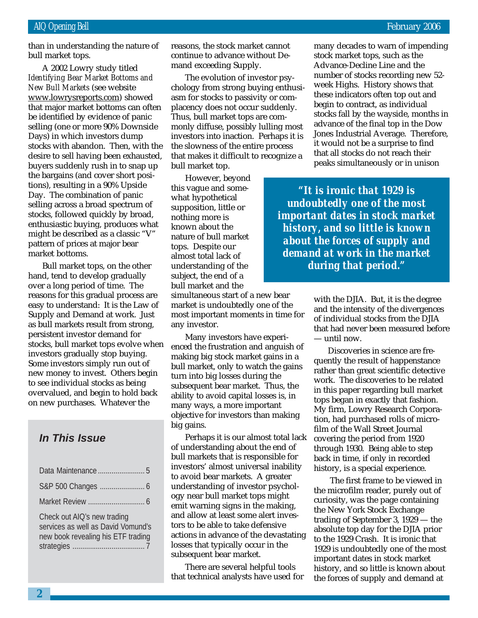than in understanding the nature of bull market tops.

March 2002 *Identifying Bear Market Bottoms and* A 2002 Lowry study titled *New Bull Markets* (see website www.lowrysreports.com) showed that major market bottoms can often be identified by evidence of panic selling (one or more 90% Downside Days) in which investors dump stocks with abandon. Then, with the desire to sell having been exhausted, buyers suddenly rush in to snap up the bargains (and cover short positions), resulting in a 90% Upside Day. The combination of panic selling across a broad spectrum of stocks, followed quickly by broad, enthusiastic buying, produces what might be described as a classic "V" pattern of prices at major bear market bottoms.

Bull market tops, on the other hand, tend to develop gradually over a long period of time. The reasons for this gradual process are easy to understand: It is the Law of Supply and Demand at work. Just as bull markets result from strong, persistent investor demand for stocks, bull market tops evolve when investors gradually stop buying. Some investors simply run out of new money to invest. Others begin to see individual stocks as being overvalued, and begin to hold back on new purchases. Whatever the

## **In This Issue**

| Check out AIQ's new trading<br>services as well as David Vomund's<br>new book revealing his ETF trading |
|---------------------------------------------------------------------------------------------------------|

reasons, the stock market cannot continue to advance without Demand exceeding Supply.

The evolution of investor psychology from strong buying enthusiasm for stocks to passivity or complacency does not occur suddenly. Thus, bull market tops are commonly diffuse, possibly lulling most investors into inaction. Perhaps it is the slowness of the entire process that makes it difficult to recognize a bull market top.

However, beyond this vague and somewhat hypothetical supposition, little or nothing more is known about the nature of bull market tops. Despite our almost total lack of understanding of the subject, the end of a bull market and the

simultaneous start of a new bear market is undoubtedly one of the most important moments in time for any investor.

Many investors have experienced the frustration and anguish of making big stock market gains in a bull market, only to watch the gains turn into big losses during the subsequent bear market. Thus, the ability to avoid capital losses is, in many ways, a more important objective for investors than making big gains.

Perhaps it is our almost total lack of understanding about the end of bull markets that is responsible for investors' almost universal inability to avoid bear markets. A greater understanding of investor psychology near bull market tops might emit warning signs in the making, and allow at least some alert investors to be able to take defensive actions in advance of the devastating losses that typically occur in the subsequent bear market.

There are several helpful tools that technical analysts have used for many decades to warn of impending stock market tops, such as the Advance-Decline Line and the number of stocks recording new 52 week Highs. History shows that these indicators often top out and begin to contract, as individual stocks fall by the wayside, months in advance of the final top in the Dow Jones Industrial Average. Therefore, it would not be a surprise to find that all stocks do not reach their peaks simultaneously or in unison

*"It is ironic that 1929 is undoubtedly one of the most important dates in stock market history, and so little is known about the forces of supply and demand at work in the market during that period."*

> with the DJIA. But, it is the degree and the intensity of the divergences of individual stocks from the DJIA that had never been measured before — until now.

Discoveries in science are frequently the result of happenstance rather than great scientific detective work. The discoveries to be related in this paper regarding bull market tops began in exactly that fashion. My firm, Lowry Research Corporation, had purchased rolls of microfilm of the Wall Street Journal covering the period from 1920 through 1930. Being able to step back in time, if only in recorded history, is a special experience.

 The first frame to be viewed in the microfilm reader, purely out of curiosity, was the page containing the New York Stock Exchange trading of September 3, 1929 — the absolute top day for the DJIA prior to the 1929 Crash. It is ironic that 1929 is undoubtedly one of the most important dates in stock market history, and so little is known about the forces of supply and demand at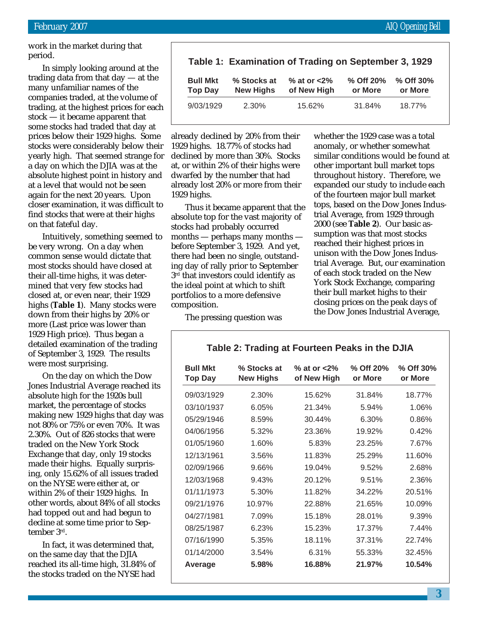work in the market during that period.

In simply looking around at the trading data from that day — at the many unfamiliar names of the companies traded, at the volume of trading, at the highest prices for each stock — it became apparent that some stocks had traded that day at prices below their 1929 highs. Some stocks were considerably below their yearly high. That seemed strange for a day on which the DJIA was at the absolute highest point in history and at a level that would not be seen again for the next 20 years. Upon closer examination, it was difficult to find stocks that were at their highs on that fateful day.

Intuitively, something seemed to be very wrong. On a day when common sense would dictate that most stocks should have closed at their all-time highs, it was determined that very few stocks had closed at, or even near, their 1929 highs (**Table 1**). Many stocks were down from their highs by 20% or more (Last price was lower than 1929 High price). Thus began a detailed examination of the trading of September 3, 1929. The results were most surprising.

On the day on which the Dow Jones Industrial Average reached its absolute high for the 1920s bull market, the percentage of stocks making new 1929 highs that day was not 80% or 75% or even 70%. It was 2.30%. Out of 826 stocks that were traded on the New York Stock Exchange that day, only 19 stocks made their highs. Equally surprising, only 15.62% of all issues traded on the NYSE were either at, or within 2% of their 1929 highs. In other words, about 84% of all stocks had topped out and had begun to decline at some time prior to September 3rd.

In fact, it was determined that, on the same day that the DJIA reached its all-time high, 31.84% of the stocks traded on the NYSE had

|                                   |                                 | Table 1: Examination of Trading on September 3, 1929 |                      |                      |
|-----------------------------------|---------------------------------|------------------------------------------------------|----------------------|----------------------|
| <b>Bull Mkt</b><br><b>Top Day</b> | % Stocks at<br><b>New Highs</b> | $%$ at or $<$ 2 $%$<br>of New High                   | % Off 20%<br>or More | % Off 30%<br>or More |
| 9/03/1929                         | 2.30%                           | 15.62%                                               | 31.84%               | 18.77%               |

already declined by 20% from their 1929 highs. 18.77% of stocks had declined by more than 30%. Stocks at, or within 2% of their highs were dwarfed by the number that had already lost 20% or more from their 1929 highs.

Thus it became apparent that the absolute top for the vast majority of stocks had probably occurred months — perhaps many months before September 3, 1929. And yet, there had been no single, outstanding day of rally prior to September  $3<sup>rd</sup>$  that investors could identify as the ideal point at which to shift portfolios to a more defensive composition.

The pressing question was

whether the 1929 case was a total anomaly, or whether somewhat similar conditions would be found at other important bull market tops throughout history. Therefore, we expanded our study to include each of the fourteen major bull market tops, based on the Dow Jones Industrial Average, from 1929 through 2000 (see **Table 2**). Our basic assumption was that most stocks reached their highest prices in unison with the Dow Jones Industrial Average. But, our examination of each stock traded on the New York Stock Exchange, comparing their bull market highs to their closing prices on the peak days of the Dow Jones Industrial Average,

## **Table 2: Trading at Fourteen Peaks in the DJIA**

| <b>Bull Mkt</b><br><b>Top Day</b> | % Stocks at<br><b>New Highs</b> | % at or $<2\%$<br>of New High | % Off 20%<br>or More | % Off 30%<br>or More |
|-----------------------------------|---------------------------------|-------------------------------|----------------------|----------------------|
| 09/03/1929                        | 2.30%                           | 15.62%                        | 31.84%               | 18.77%               |
| 03/10/1937                        | 6.05%                           | 21.34%                        | 5.94%                | 1.06%                |
| 05/29/1946                        | 8.59%                           | 30.44%                        | 6.30%                | 0.86%                |
| 04/06/1956                        | 5.32%                           | 23.36%                        | 19.92%               | 0.42%                |
| 01/05/1960                        | 1.60%                           | 5.83%                         | 23.25%               | 7.67%                |
| 12/13/1961                        | 3.56%                           | 11.83%                        | 25.29%               | 11.60%               |
| 02/09/1966                        | 9.66%                           | 19.04%                        | 9.52%                | 2.68%                |
| 12/03/1968                        | 9.43%                           | 20.12%                        | 9.51%                | 2.36%                |
| 01/11/1973                        | 5.30%                           | 11.82%                        | 34.22%               | 20.51%               |
| 09/21/1976                        | 10.97%                          | 22.88%                        | 21.65%               | 10.09%               |
| 04/27/1981                        | 7.09%                           | 15.18%                        | 28.01%               | 9.39%                |
| 08/25/1987                        | 6.23%                           | 15.23%                        | 17.37%               | 7.44%                |
| 07/16/1990                        | 5.35%                           | 18.11%                        | 37.31%               | 22.74%               |
| 01/14/2000                        | 3.54%                           | 6.31%                         | 55.33%               | 32.45%               |
| Average                           | 5.98%                           | 16.88%                        | 21.97%               | 10.54%               |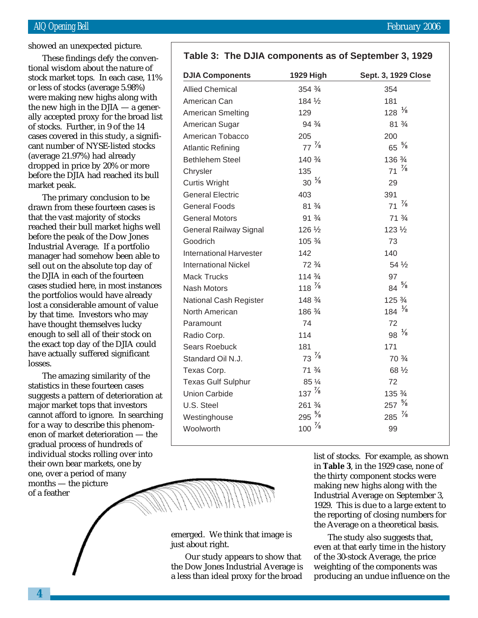## AIQ Opening Bell February 2006

showed an unexpected picture.

stock market tops. In each case, 11% These findings defy the conventional wisdom about the nature of or less of stocks (average 5.98%) were making new highs along with the new high in the  $\overline{D}$  JIA — a generally accepted proxy for the broad list of stocks. Further, in 9 of the 14 cases covered in this study, a significant number of NYSE-listed stocks (average 21.97%) had already dropped in price by 20% or more before the DJIA had reached its bull market peak.

The primary conclusion to be drawn from these fourteen cases is that the vast majority of stocks reached their bull market highs well before the peak of the Dow Jones Industrial Average. If a portfolio manager had somehow been able to sell out on the absolute top day of the DJIA in each of the fourteen cases studied here, in most instances the portfolios would have already lost a considerable amount of value by that time. Investors who may have thought themselves lucky enough to sell all of their stock on the exact top day of the DJIA could have actually suffered significant losses.

The amazing similarity of the statistics in these fourteen cases suggests a pattern of deterioration at major market tops that investors cannot afford to ignore. In searching for a way to describe this phenomenon of market deterioration — the gradual process of hundreds of individual stocks rolling over into their own bear markets, one by one, over a period of many months — the picture of a feather

## **Table 3: The DJIA components as of September 3, 1929**

| <b>DJIA Components</b>        | 1929 High         | Sept. 3, 1929 Close |
|-------------------------------|-------------------|---------------------|
| <b>Allied Chemical</b>        | $354\frac{3}{4}$  | 354                 |
| American Can                  | 184 1/2           | 181                 |
| <b>American Smelting</b>      | 129               | $128^{1/8}$         |
| American Sugar                | $94\frac{3}{4}$   | $81\frac{3}{4}$     |
| American Tobacco              | 205               | 200                 |
| <b>Atlantic Refining</b>      | $77\frac{7}{8}$   | $65~\frac{5}{8}$    |
| <b>Bethlehem Steel</b>        | 140 3/4           | 136 3/4             |
| Chrysler                      | 135               | $71\frac{7}{8}$     |
| <b>Curtis Wright</b>          | $30^{1/8}$        | 29                  |
| <b>General Electric</b>       | 403               | 391                 |
| <b>General Foods</b>          | $81\frac{3}{4}$   | $71\frac{7}{8}$     |
| <b>General Motors</b>         | $91\frac{3}{4}$   | $71\frac{3}{4}$     |
| <b>General Railway Signal</b> | $126\frac{1}{2}$  | $123\frac{1}{2}$    |
| Goodrich                      | $105\frac{3}{4}$  | 73                  |
| International Harvester       | 142               | 140                 |
| <b>International Nickel</b>   | $72\frac{3}{4}$   | $54\frac{1}{2}$     |
| <b>Mack Trucks</b>            | $114\frac{3}{4}$  | 97                  |
| <b>Nash Motors</b>            | 118 $\frac{7}{8}$ | $84^{5/8}$          |
| <b>National Cash Register</b> | $148\frac{3}{4}$  | $125\frac{3}{4}$    |
| North American                | 186 3/4           | 184 $\frac{1}{8}$   |
| Paramount                     | 74                | 72                  |
| Radio Corp.                   | 114               | 98 $\frac{1}{8}$    |
| <b>Sears Roebuck</b>          | 181               | 171                 |
| Standard Oil N.J.             | $73\frac{7}{8}$   | 70 $\frac{3}{4}$    |
| Texas Corp.                   | $71\frac{3}{4}$   | 68 1/2              |
| <b>Texas Gulf Sulphur</b>     | 85 1/4            | 72                  |
| <b>Union Carbide</b>          | $137 \frac{7}{8}$ | 135 3/4             |
| U.S. Steel                    | 261 3/4           | $257 \frac{5}{8}$   |
| Westinghouse                  | $295\frac{5}{8}$  | 285 $\frac{7}{8}$   |
| Woolworth                     | 100 $\frac{7}{8}$ | 99                  |



emerged. We think that image is just about right.

Our study appears to show that the Dow Jones Industrial Average is a less than ideal proxy for the broad

list of stocks. For example, as shown in **Table 3**, in the 1929 case, none of the thirty component stocks were making new highs along with the Industrial Average on September 3, 1929. This is due to a large extent to the reporting of closing numbers for the Average on a theoretical basis.

The study also suggests that, even at that early time in the history of the 30-stock Average, the price weighting of the components was producing an undue influence on the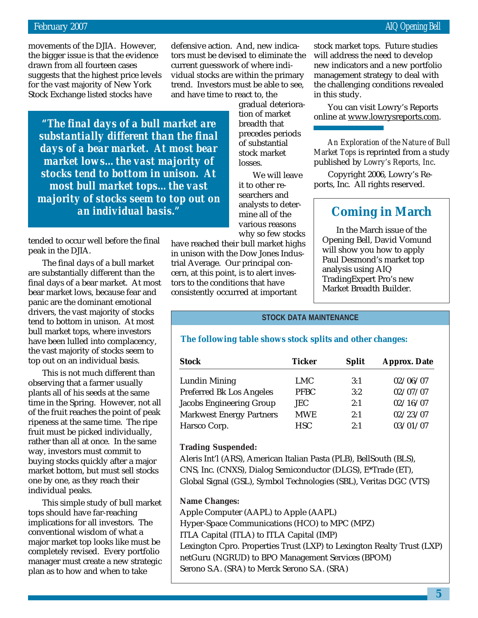movements of the DJIA. However, the bigger issue is that the evidence drawn from all fourteen cases suggests that the highest price levels for the vast majority of New York Stock Exchange listed stocks have

defensive action. And, new indicators must be devised to eliminate the current guesswork of where individual stocks are within the primary trend. Investors must be able to see, and have time to react to, the

*"The final days of a bull market are substantially different than the final days of a bear market. At most bear market lows…the vast majority of stocks tend to bottom in unison. At most bull market tops…the vast majority of stocks seem to top out on an individual basis."*

tended to occur well before the final peak in the DJIA.

The final days of a bull market are substantially different than the final days of a bear market. At most bear market lows, because fear and panic are the dominant emotional drivers, the vast majority of stocks tend to bottom in unison. At most bull market tops, where investors have been lulled into complacency, the vast majority of stocks seem to top out on an individual basis.

This is not much different than observing that a farmer usually plants all of his seeds at the same time in the Spring. However, not all of the fruit reaches the point of peak ripeness at the same time. The ripe fruit must be picked individually, rather than all at once. In the same way, investors must commit to buying stocks quickly after a major market bottom, but must sell stocks one by one, as they reach their individual peaks.

This simple study of bull market tops should have far-reaching implications for all investors. The conventional wisdom of what a major market top looks like must be completely revised. Every portfolio manager must create a new strategic plan as to how and when to take

gradual deterioration of market breadth that precedes periods of substantial stock market losses.

We will leave it to other researchers and analysts to determine all of the various reasons why so few stocks

have reached their bull market highs in unison with the Dow Jones Industrial Average. Our principal concern, at this point, is to alert investors to the conditions that have consistently occurred at important

stock market tops. Future studies will address the need to develop new indicators and a new portfolio management strategy to deal with the challenging conditions revealed in this study.

You can visit Lowry's Reports online at www.lowrysreports.com.

*An Exploration of the Nature of Bull Market Tops* is reprinted from a study published by *Lowry's Reports, Inc*.

Copyright 2006, Lowry's Reports, Inc. All rights reserved.

## **Coming in March**

In the March issue of the Opening Bell, David Vomund will show you how to apply Paul Desmond's market top analysis using AIQ TradingExpert Pro's new Market Breadth Builder.

#### **STOCK DATA MAINTENANCE**

## **The following table shows stock splits and other changes:**

| <b>Stock</b>                    | Ticker      | <b>Split</b> | <b>Approx. Date</b> |
|---------------------------------|-------------|--------------|---------------------|
| <b>Lundin Mining</b>            | LMC         | 3:1          | 02/06/07            |
| <b>Preferred Bk Los Angeles</b> | <b>PFBC</b> | 3:2          | 02/07/07            |
| Jacobs Engineering Group        | <b>JEC</b>  | 2:1          | 02/16/07            |
| <b>Markwest Energy Partners</b> | <b>MWE</b>  | 2:1          | 02/23/07            |
| Harsco Corp.                    | <b>HSC</b>  | 2:1          | 03/01/07            |

#### **Trading Suspended:**

Aleris Int'l (ARS), American Italian Pasta (PLB), BellSouth (BLS), CNS, Inc. (CNXS), Dialog Semiconductor (DLGS), E\*Trade (ET), Global Signal (GSL), Symbol Technologies (SBL), Veritas DGC (VTS)

**Name Changes:**

Apple Computer (AAPL) to Apple (AAPL) Hyper-Space Communications (HCO) to MPC (MPZ) ITLA Capital (ITLA) to ITLA Capital (IMP) Lexington Cpro. Properties Trust (LXP) to Lexington Realty Trust (LXP) netGuru (NGRUD) to BPO Management Services (BPOM) Serono S.A. (SRA) to Merck Serono S.A. (SRA)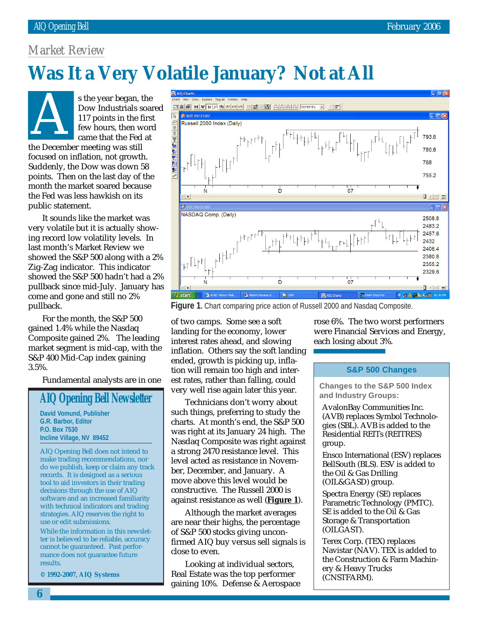## *Market Review*

# **Was It a Very Volatile January? Not at All**

s the year began, the Dow Industrials soared 117 points in the first few hours, then word came that the Fed at s the year began, a<br>Dow Industrials s<br>117 points in the f<br>few hours, then w<br>came that the Fed<br>the December meeting was still focused on inflation, not growth. Suddenly, the Dow was down 58 points. Then on the last day of the month the market soared because the Fed was less hawkish on its public statement.

It sounds like the market was very volatile but it is actually showing record low volatility levels. In last month's Market Review we showed the S&P 500 along with a 2% Zig-Zag indicator. This indicator showed the S&P 500 hadn't had a 2% pullback since mid-July. January has come and gone and still no 2% pullback.

For the month, the S&P 500 gained 1.4% while the Nasdaq Composite gained 2%. The leading market segment is mid-cap, with the S&P 400 Mid-Cap index gaining 3.5%.

Fundamental analysts are in one

## **AIQ Opening Bell Newsletter**

**David Vomund, Publisher G.R. Barbor, Editor P.O. Box 7530 Incline Village, NV 89452**

AIQ Opening Bell does not intend to make trading recommendations, nor do we publish, keep or claim any track records. It is designed as a serious tool to aid investors in their trading decisions through the use of AIQ software and an increased familiarity with technical indicators and trading strategies. AIQ reserves the right to use or edit submissions.

While the information in this newsletter is believed to be reliable, accuracy cannot be guaranteed. Past performance does not guarantee future results.

**© 1992-2007, AIQ Systems**



**Figure 1.** Chart comparing price action of Russell 2000 and Nasdaq Composite.

of two camps. Some see a soft landing for the economy, lower interest rates ahead, and slowing inflation. Others say the soft landing ended, growth is picking up, inflation will remain too high and interest rates, rather than falling, could very well rise again later this year.

Technicians don't worry about such things, preferring to study the charts. At month's end, the S&P 500 was right at its January 24 high. The Nasdaq Composite was right against a strong 2470 resistance level. This level acted as resistance in November, December, and January. A move above this level would be constructive. The Russell 2000 is against resistance as well (**Figure 1**).

Although the market averages are near their highs, the percentage of S&P 500 stocks giving unconfirmed AIQ buy versus sell signals is close to even.

Looking at individual sectors, Real Estate was the top performer gaining 10%. Defense & Aerospace rose 6%. The two worst performers were Financial Services and Energy, each losing about 3%.

#### **S&P 500 Changes**

**Changes to the S&P 500 Index and Industry Groups:**

AvalonBay Communities Inc. (AVB) replaces Symbol Technologies (SBL). AVB is added to the Residential REITs (REITRES) group.

Ensco International (ESV) replaces BellSouth (BLS). ESV is added to the Oil & Gas Drilling (OIL&GASD) group.

Spectra Energy (SE) replaces Parametric Technology (PMTC). SE is added to the Oil & Gas Storage & Transportation (OILGAST).

Terex Corp. (TEX) replaces Navistar (NAV). TEX is added to the Construction & Farm Machinery & Heavy Trucks (CNSTFARM).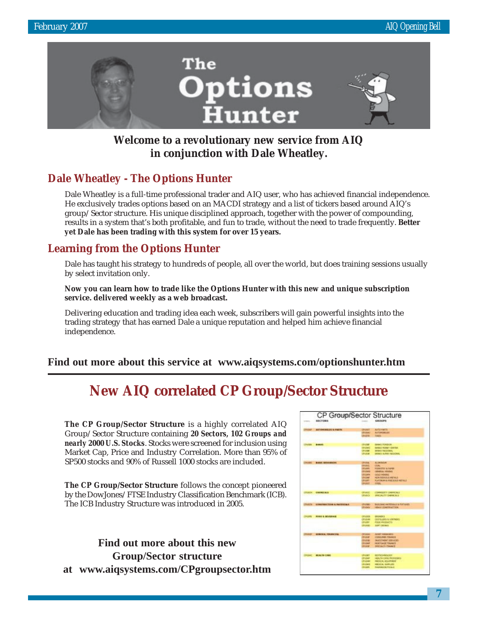

## **Welcome to a revolutionary new service from AIQ in conjunction with Dale Wheatley.**

## **Dale Wheatley - The Options Hunter**

Dale Wheatley is a full-time professional trader and AIQ user, who has achieved financial independence. He exclusively trades options based on an MACDI strategy and a list of tickers based around AIQ's group/Sector structure. His unique disciplined approach, together with the power of compounding, results in a system that's both profitable, and fun to trade, without the need to trade frequently. **Better yet Dale has been trading with this system for over 15 years.**

## **Learning from the Options Hunter**

Dale has taught his strategy to hundreds of people, all over the world, but does training sessions usually by select invitation only.

**Now you can learn how to trade like the Options Hunter with this new and unique subscription service. delivered weekly as a web broadcast.**

Delivering education and trading idea each week, subscribers will gain powerful insights into the trading strategy that has earned Dale a unique reputation and helped him achieve financial independence.

## **Find out more about this service at www.aiqsystems.com/optionshunter.htm**

## **New AIQ correlated CP Group/Sector Structure**

**The CP Group/Sector Structure** is a highly correlated AIQ Group/Sector Structure containing *20 Sectors, 102 Groups and nearly 2000 U.S. Stocks*. Stocks were screened for inclusion using Market Cap, Price and Industry Correlation. More than 95% of SP500 stocks and 90% of Russell 1000 stocks are included.

**The CP Group/Sector Structure** follows the concept pioneered by the DowJones/FTSE Industry Classification Benchmark (ICB). The ICB Industry Structure was introduced in 2005.

**Find out more about this new Group/Sector structure at www.aiqsystems.com/CPgroupsector.htm**

|              | <b><i><i>ARCTIONS</i></i></b>     |                                   | 680089                                                |
|--------------|-----------------------------------|-----------------------------------|-------------------------------------------------------|
|              |                                   |                                   |                                                       |
|              | <b>BATTOMOBELLES &amp; PARTIN</b> | <b>UNJMT</b>                      | AUTO Fee TL                                           |
|              |                                   | <b>LEGALA</b>                     | <b>AUTOPORILES</b>                                    |
|              |                                   | (Positia)                         | <b>Tikelik</b>                                        |
|              |                                   |                                   |                                                       |
|              |                                   | <b>CENTRE</b>                     | <b>MANIE FUEBRIAL</b>                                 |
|              |                                   | OWNER                             | <b>MAGI ROBY ORIGI</b>                                |
|              |                                   | <b>CINOESE</b><br><b>DRUIDE</b>   | <b>AMAG RACOTARL</b><br><b>MAG SUNA KEDONA</b>        |
|              |                                   |                                   |                                                       |
|              |                                   |                                   |                                                       |
|              | <b>BAGG, SESURIES RS</b>          | ONAIL.                            | Accountable                                           |
|              |                                   | <b>GRAND</b><br><b>OUARD</b>      | <b>ODA:</b>                                           |
|              |                                   | <b>OKRAD</b>                      | <b>POSPISTER &amp; LAPER</b><br><b>CENTRAL HONDAY</b> |
|              |                                   | <b>CELLAND</b>                    | COLO MINING                                           |
|              |                                   | <b>UK/UART</b>                    | <b>NON FERRICUS PETALS</b>                            |
|              |                                   | URUSH!                            | <b>PLATINUM &amp; PROCESSION RISTALS</b>              |
|              |                                   | ONIGHT                            | 11111                                                 |
|              |                                   |                                   |                                                       |
| <b>UKCH</b>  | <b>CHEMICALS</b>                  | <b>CIRCUITE</b>                   | COMMODERY CHARGE ALS:                                 |
|              |                                   | <b>ONANCY</b>                     | <b><i>BROADTY GARAGER</i></b>                         |
|              |                                   |                                   |                                                       |
|              | <b>CONSTRACTOR &amp; HATESTAK</b> | <b>UNION</b>                      | <b>BULGINI, HATESGUL &amp; PATULES</b>                |
|              |                                   | <b>Children</b>                   | HEAVY CONCERNETION                                    |
|              |                                   |                                   |                                                       |
|              | FORD & SEVERAGE                   | <b>OFFJERS</b>                    | <b>GREATER</b> S                                      |
|              |                                   | Officials                         | OSTELLING & VANDALES                                  |
|              |                                   | OVANY                             | <b><i>RADE MATERIALS</i></b>                          |
|              |                                   | <b>CPUMIES</b>                    | <b>SOFT DELIVER</b>                                   |
|              |                                   |                                   |                                                       |
|              | <b>EXNERAL FINANCIAL</b>          | OPULSKI                           | ADIEC HANNOUSES.                                      |
|              |                                   | <b>Lylusian</b>                   | CONSUMER FINANCE                                      |
|              |                                   | <b>COULDER</b>                    | <b>Doublin West Adam Walk</b>                         |
|              |                                   | Olusan                            | HORTGAGE YOUANCE                                      |
|              |                                   | ONIGHT                            | <b>MELLIGTY FINANCE</b>                               |
|              |                                   |                                   |                                                       |
| <b>JUSK!</b> | <b>MERCIFICANT</b>                | <b>UPUGET</b>                     | <b>ROUTROMANDOR</b>                                   |
|              |                                   | <b>ORIGINAL</b><br><b>CRUSHER</b> | HERLTH DWE MIONICERS<br><b>PACICAL EQUIPMENT</b>      |
|              |                                   | <b>CPUS AND</b>                   | HIDEAL GARLINE                                        |
|              |                                   |                                   |                                                       |